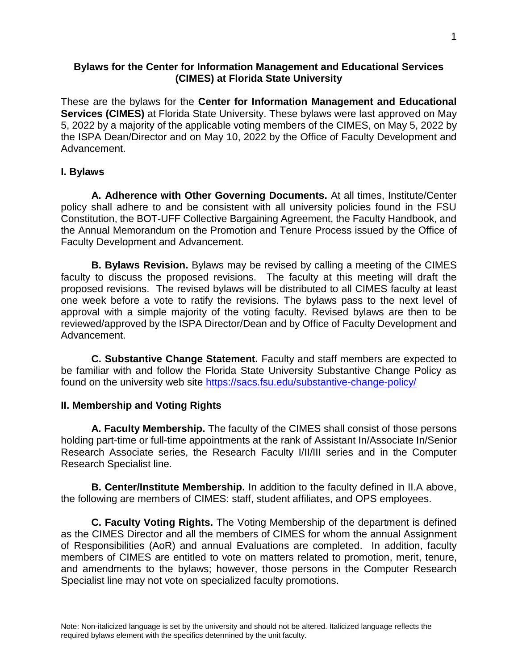#### **Bylaws for the Center for Information Management and Educational Services (CIMES) at Florida State University**

These are the bylaws for the **Center for Information Management and Educational Services (CIMES)** at Florida State University. These bylaws were last approved on May 5, 2022 by a majority of the applicable voting members of the CIMES, on May 5, 2022 by the ISPA Dean/Director and on May 10, 2022 by the Office of Faculty Development and Advancement.

#### **I. Bylaws**

**A. Adherence with Other Governing Documents.** At all times, Institute/Center policy shall adhere to and be consistent with all university policies found in the FSU Constitution, the BOT-UFF Collective Bargaining Agreement, the Faculty Handbook, and the Annual Memorandum on the Promotion and Tenure Process issued by the Office of Faculty Development and Advancement.

**B. Bylaws Revision.** Bylaws may be revised by calling a meeting of the CIMES faculty to discuss the proposed revisions. The faculty at this meeting will draft the proposed revisions. The revised bylaws will be distributed to all CIMES faculty at least one week before a vote to ratify the revisions. The bylaws pass to the next level of approval with a simple majority of the voting faculty. Revised bylaws are then to be reviewed/approved by the ISPA Director/Dean and by Office of Faculty Development and Advancement.

**C. Substantive Change Statement.** Faculty and staff members are expected to be familiar with and follow the Florida State University Substantive Change Policy as found on the university web site<https://sacs.fsu.edu/substantive-change-policy/>

#### **II. Membership and Voting Rights**

**A. Faculty Membership.** The faculty of the CIMES shall consist of those persons holding part-time or full-time appointments at the rank of Assistant In/Associate In/Senior Research Associate series, the Research Faculty I/II/III series and in the Computer Research Specialist line.

**B. Center/Institute Membership.** In addition to the faculty defined in II.A above, the following are members of CIMES: staff, student affiliates, and OPS employees.

**C. Faculty Voting Rights.** The Voting Membership of the department is defined as the CIMES Director and all the members of CIMES for whom the annual Assignment of Responsibilities (AoR) and annual Evaluations are completed. In addition, faculty members of CIMES are entitled to vote on matters related to promotion, merit, tenure, and amendments to the bylaws; however, those persons in the Computer Research Specialist line may not vote on specialized faculty promotions.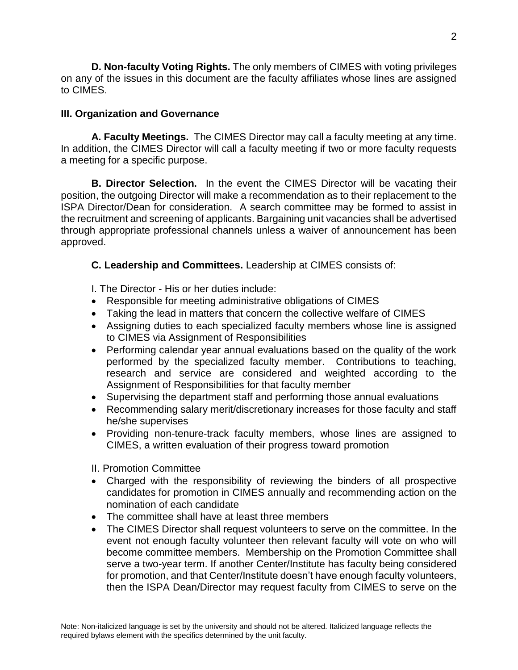**D. Non-faculty Voting Rights.** The only members of CIMES with voting privileges on any of the issues in this document are the faculty affiliates whose lines are assigned to CIMES.

### **III. Organization and Governance**

**A. Faculty Meetings.** The CIMES Director may call a faculty meeting at any time. In addition, the CIMES Director will call a faculty meeting if two or more faculty requests a meeting for a specific purpose.

**B. Director Selection.** In the event the CIMES Director will be vacating their position, the outgoing Director will make a recommendation as to their replacement to the ISPA Director/Dean for consideration. A search committee may be formed to assist in the recruitment and screening of applicants. Bargaining unit vacancies shall be advertised through appropriate professional channels unless a waiver of announcement has been approved.

**C. Leadership and Committees.** Leadership at CIMES consists of:

I. The Director - His or her duties include:

- Responsible for meeting administrative obligations of CIMES
- Taking the lead in matters that concern the collective welfare of CIMES
- Assigning duties to each specialized faculty members whose line is assigned to CIMES via Assignment of Responsibilities
- Performing calendar year annual evaluations based on the quality of the work performed by the specialized faculty member. Contributions to teaching, research and service are considered and weighted according to the Assignment of Responsibilities for that faculty member
- Supervising the department staff and performing those annual evaluations
- Recommending salary merit/discretionary increases for those faculty and staff he/she supervises
- Providing non-tenure-track faculty members, whose lines are assigned to CIMES, a written evaluation of their progress toward promotion

II. Promotion Committee

- Charged with the responsibility of reviewing the binders of all prospective candidates for promotion in CIMES annually and recommending action on the nomination of each candidate
- The committee shall have at least three members
- The CIMES Director shall request volunteers to serve on the committee. In the event not enough faculty volunteer then relevant faculty will vote on who will become committee members. Membership on the Promotion Committee shall serve a two-year term. If another Center/Institute has faculty being considered for promotion, and that Center/Institute doesn't have enough faculty volunteers, then the ISPA Dean/Director may request faculty from CIMES to serve on the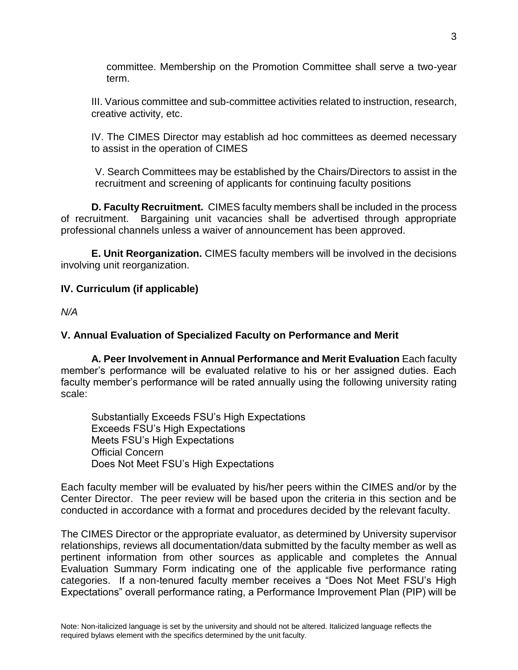committee. Membership on the Promotion Committee shall serve a two-year term.

III. Various committee and sub-committee activities related to instruction, research, creative activity, etc.

IV. The CIMES Director may establish ad hoc committees as deemed necessary to assist in the operation of CIMES

 V. Search Committees may be established by the Chairs/Directors to assist in the recruitment and screening of applicants for continuing faculty positions

**D. Faculty Recruitment.** CIMES faculty members shall be included in the process of recruitment. Bargaining unit vacancies shall be advertised through appropriate professional channels unless a waiver of announcement has been approved.

**E. Unit Reorganization.** CIMES faculty members will be involved in the decisions involving unit reorganization.

### **IV. Curriculum (if applicable)**

*N/A*

#### **V. Annual Evaluation of Specialized Faculty on Performance and Merit**

**A. Peer Involvement in Annual Performance and Merit Evaluation** Each faculty member's performance will be evaluated relative to his or her assigned duties. Each faculty member's performance will be rated annually using the following university rating scale:

Substantially Exceeds FSU's High Expectations Exceeds FSU's High Expectations Meets FSU's High Expectations Official Concern Does Not Meet FSU's High Expectations

Each faculty member will be evaluated by his/her peers within the CIMES and/or by the Center Director. The peer review will be based upon the criteria in this section and be conducted in accordance with a format and procedures decided by the relevant faculty.

The CIMES Director or the appropriate evaluator, as determined by University supervisor relationships, reviews all documentation/data submitted by the faculty member as well as pertinent information from other sources as applicable and completes the Annual Evaluation Summary Form indicating one of the applicable five performance rating categories. If a non-tenured faculty member receives a "Does Not Meet FSU's High Expectations" overall performance rating, a Performance Improvement Plan (PIP) will be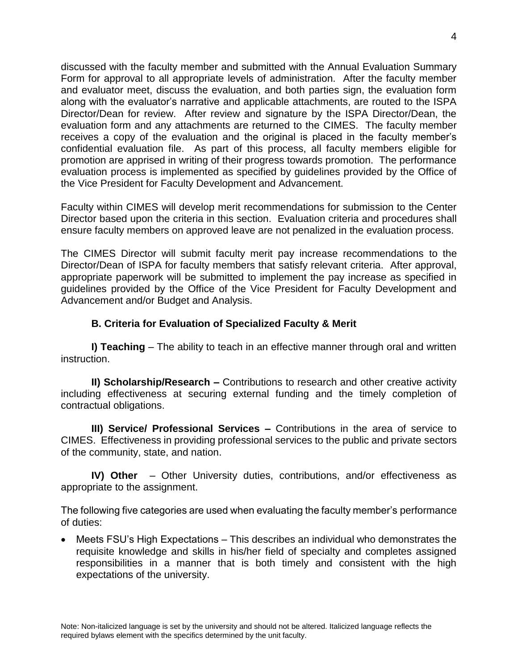discussed with the faculty member and submitted with the Annual Evaluation Summary Form for approval to all appropriate levels of administration. After the faculty member and evaluator meet, discuss the evaluation, and both parties sign, the evaluation form along with the evaluator's narrative and applicable attachments, are routed to the ISPA Director/Dean for review. After review and signature by the ISPA Director/Dean, the evaluation form and any attachments are returned to the CIMES. The faculty member receives a copy of the evaluation and the original is placed in the faculty member's confidential evaluation file. As part of this process, all faculty members eligible for promotion are apprised in writing of their progress towards promotion. The performance evaluation process is implemented as specified by guidelines provided by the Office of the Vice President for Faculty Development and Advancement.

Faculty within CIMES will develop merit recommendations for submission to the Center Director based upon the criteria in this section. Evaluation criteria and procedures shall ensure faculty members on approved leave are not penalized in the evaluation process.

The CIMES Director will submit faculty merit pay increase recommendations to the Director/Dean of ISPA for faculty members that satisfy relevant criteria. After approval, appropriate paperwork will be submitted to implement the pay increase as specified in guidelines provided by the Office of the Vice President for Faculty Development and Advancement and/or Budget and Analysis.

## **B. Criteria for Evaluation of Specialized Faculty & Merit**

**I) Teaching** – The ability to teach in an effective manner through oral and written instruction.

**II) Scholarship/Research –** Contributions to research and other creative activity including effectiveness at securing external funding and the timely completion of contractual obligations.

**III) Service/ Professional Services –** Contributions in the area of service to CIMES. Effectiveness in providing professional services to the public and private sectors of the community, state, and nation.

**IV) Other** – Other University duties, contributions, and/or effectiveness as appropriate to the assignment.

The following five categories are used when evaluating the faculty member's performance of duties:

 Meets FSU's High Expectations – This describes an individual who demonstrates the requisite knowledge and skills in his/her field of specialty and completes assigned responsibilities in a manner that is both timely and consistent with the high expectations of the university.

4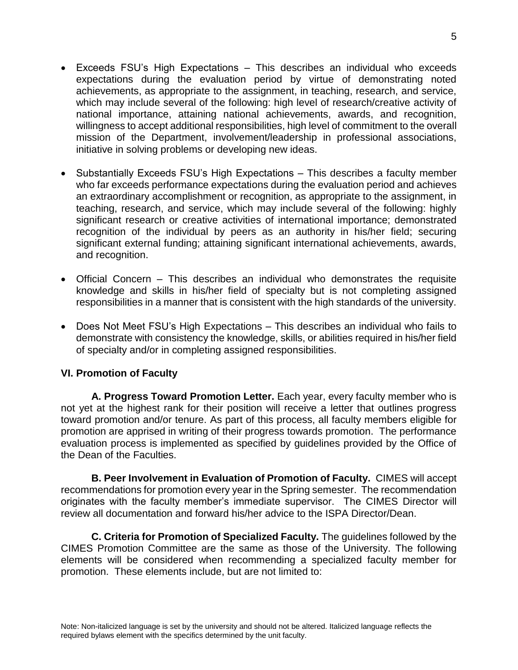- Exceeds FSU's High Expectations This describes an individual who exceeds expectations during the evaluation period by virtue of demonstrating noted achievements, as appropriate to the assignment, in teaching, research, and service, which may include several of the following: high level of research/creative activity of national importance, attaining national achievements, awards, and recognition, willingness to accept additional responsibilities, high level of commitment to the overall mission of the Department, involvement/leadership in professional associations, initiative in solving problems or developing new ideas.
- Substantially Exceeds FSU's High Expectations This describes a faculty member who far exceeds performance expectations during the evaluation period and achieves an extraordinary accomplishment or recognition, as appropriate to the assignment, in teaching, research, and service, which may include several of the following: highly significant research or creative activities of international importance; demonstrated recognition of the individual by peers as an authority in his/her field; securing significant external funding; attaining significant international achievements, awards, and recognition.
- Official Concern This describes an individual who demonstrates the requisite knowledge and skills in his/her field of specialty but is not completing assigned responsibilities in a manner that is consistent with the high standards of the university.
- Does Not Meet FSU's High Expectations This describes an individual who fails to demonstrate with consistency the knowledge, skills, or abilities required in his/her field of specialty and/or in completing assigned responsibilities.

## **VI. Promotion of Faculty**

**A. Progress Toward Promotion Letter.** Each year, every faculty member who is not yet at the highest rank for their position will receive a letter that outlines progress toward promotion and/or tenure. As part of this process, all faculty members eligible for promotion are apprised in writing of their progress towards promotion. The performance evaluation process is implemented as specified by guidelines provided by the Office of the Dean of the Faculties.

**B. Peer Involvement in Evaluation of Promotion of Faculty.** CIMES will accept recommendations for promotion every year in the Spring semester. The recommendation originates with the faculty member's immediate supervisor. The CIMES Director will review all documentation and forward his/her advice to the ISPA Director/Dean.

**C. Criteria for Promotion of Specialized Faculty.** The guidelines followed by the CIMES Promotion Committee are the same as those of the University. The following elements will be considered when recommending a specialized faculty member for promotion. These elements include, but are not limited to: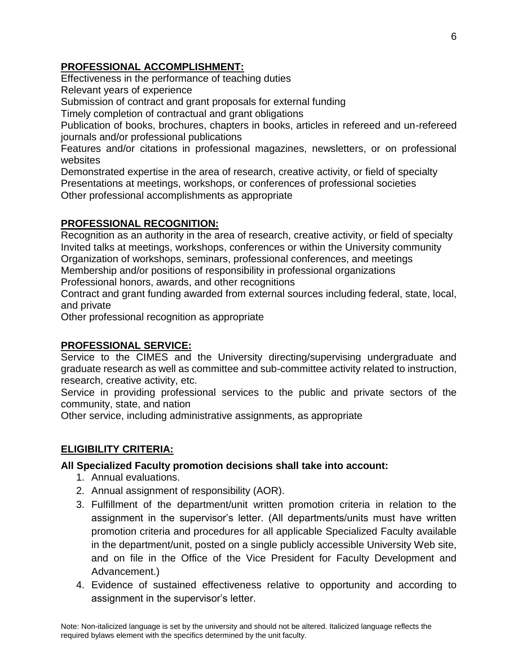# **PROFESSIONAL ACCOMPLISHMENT:**

Effectiveness in the performance of teaching duties

Relevant years of experience

Submission of contract and grant proposals for external funding

Timely completion of contractual and grant obligations

Publication of books, brochures, chapters in books, articles in refereed and un-refereed journals and/or professional publications

Features and/or citations in professional magazines, newsletters, or on professional websites

Demonstrated expertise in the area of research, creative activity, or field of specialty Presentations at meetings, workshops, or conferences of professional societies Other professional accomplishments as appropriate

# **PROFESSIONAL RECOGNITION:**

Recognition as an authority in the area of research, creative activity, or field of specialty Invited talks at meetings, workshops, conferences or within the University community Organization of workshops, seminars, professional conferences, and meetings Membership and/or positions of responsibility in professional organizations Professional honors, awards, and other recognitions

Contract and grant funding awarded from external sources including federal, state, local, and private

Other professional recognition as appropriate

## **PROFESSIONAL SERVICE:**

Service to the CIMES and the University directing/supervising undergraduate and graduate research as well as committee and sub-committee activity related to instruction, research, creative activity, etc.

Service in providing professional services to the public and private sectors of the community, state, and nation

Other service, including administrative assignments, as appropriate

# **ELIGIBILITY CRITERIA:**

## **All Specialized Faculty promotion decisions shall take into account:**

- 1. Annual evaluations.
- 2. Annual assignment of responsibility (AOR).
- 3. Fulfillment of the department/unit written promotion criteria in relation to the assignment in the supervisor's letter. (All departments/units must have written promotion criteria and procedures for all applicable Specialized Faculty available in the department/unit, posted on a single publicly accessible University Web site, and on file in the Office of the Vice President for Faculty Development and Advancement.)
- 4. Evidence of sustained effectiveness relative to opportunity and according to assignment in the supervisor's letter.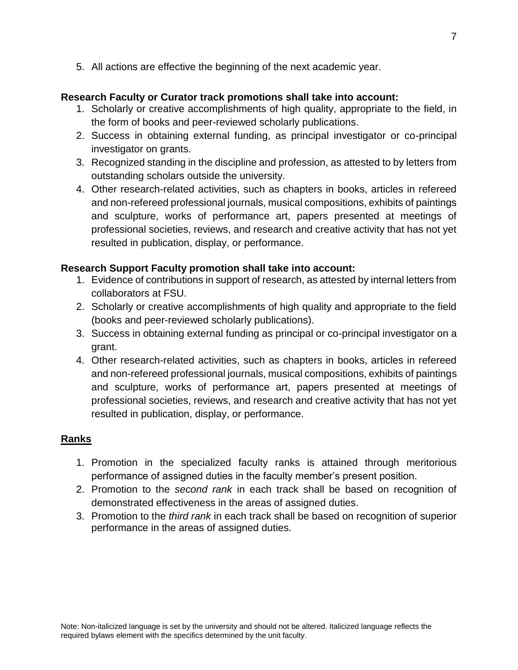5. All actions are effective the beginning of the next academic year.

## **Research Faculty or Curator track promotions shall take into account:**

- 1. Scholarly or creative accomplishments of high quality, appropriate to the field, in the form of books and peer-reviewed scholarly publications.
- 2. Success in obtaining external funding, as principal investigator or co-principal investigator on grants.
- 3. Recognized standing in the discipline and profession, as attested to by letters from outstanding scholars outside the university.
- 4. Other research-related activities, such as chapters in books, articles in refereed and non-refereed professional journals, musical compositions, exhibits of paintings and sculpture, works of performance art, papers presented at meetings of professional societies, reviews, and research and creative activity that has not yet resulted in publication, display, or performance.

# **Research Support Faculty promotion shall take into account:**

- 1. Evidence of contributions in support of research, as attested by internal letters from collaborators at FSU.
- 2. Scholarly or creative accomplishments of high quality and appropriate to the field (books and peer-reviewed scholarly publications).
- 3. Success in obtaining external funding as principal or co-principal investigator on a grant.
- 4. Other research-related activities, such as chapters in books, articles in refereed and non-refereed professional journals, musical compositions, exhibits of paintings and sculpture, works of performance art, papers presented at meetings of professional societies, reviews, and research and creative activity that has not yet resulted in publication, display, or performance.

# **Ranks**

- 1. Promotion in the specialized faculty ranks is attained through meritorious performance of assigned duties in the faculty member's present position.
- 2. Promotion to the *second rank* in each track shall be based on recognition of demonstrated effectiveness in the areas of assigned duties.
- 3. Promotion to the *third rank* in each track shall be based on recognition of superior performance in the areas of assigned duties.